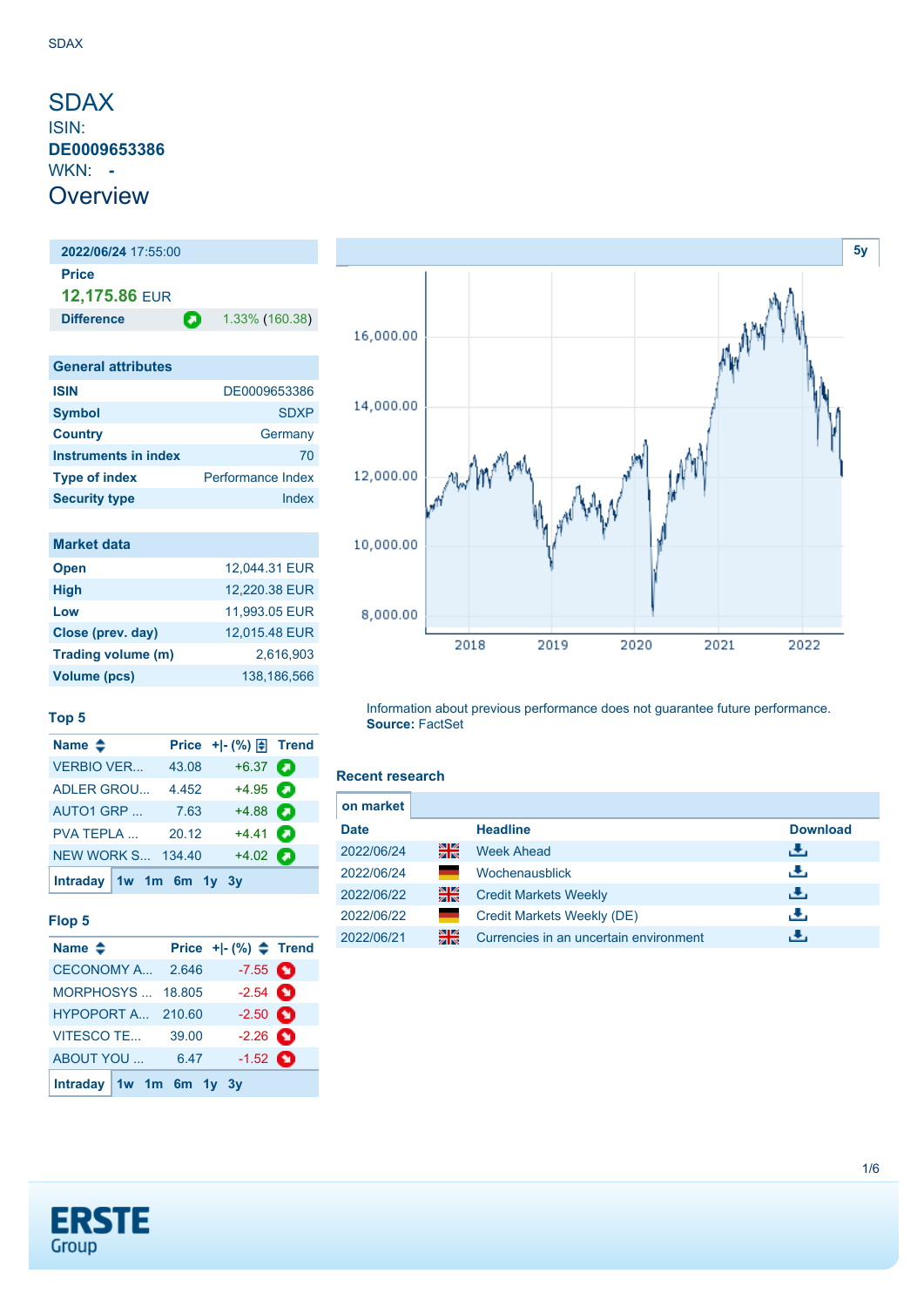## <span id="page-0-0"></span>SDAX ISIN: **DE0009653386** WKN: **- Overview**

**2022/06/24** 17:55:00 **Price 12,175.86** EUR **Difference 1.33% (160.38)** 

| <b>General attributes</b> |                          |
|---------------------------|--------------------------|
| <b>ISIN</b>               | DE0009653386             |
| <b>Symbol</b>             | <b>SDXP</b>              |
| <b>Country</b>            | Germany                  |
| Instruments in index      | 70                       |
| <b>Type of index</b>      | <b>Performance Index</b> |
| <b>Security type</b>      | Index                    |

| <b>Market data</b>  |               |
|---------------------|---------------|
| <b>Open</b>         | 12.044.31 EUR |
| <b>High</b>         | 12,220.38 EUR |
| Low                 | 11,993.05 EUR |
| Close (prev. day)   | 12,015.48 EUR |
| Trading volume (m)  | 2,616,903     |
| <b>Volume (pcs)</b> | 138.186.566   |

#### **Top 5**

| Name $\triangleq$         |        | Price + - $(\%) \oplus$ Trend |  |
|---------------------------|--------|-------------------------------|--|
| <b>VERBIO VER</b>         | 43.08  | $+6.37$ $\bullet$             |  |
| <b>ADLER GROU</b>         | 4.452  | $+4.95$ $\bullet$             |  |
| AUTO1 GRP                 | 7.63   | $+4.88$ $\bullet$             |  |
| <b>PVA TEPLA</b>          | 20.12  | $+4.41$ $\bullet$             |  |
| NEW WORK S                | 134.40 | $+4.02$ $\bullet$             |  |
| Intraday $1w$ 1m 6m 1y 3y |        |                               |  |

### **Flop 5**

| Name $\triangleq$          |                         | Price $+$ $ (%)$ $\triangle$ Trend |  |
|----------------------------|-------------------------|------------------------------------|--|
| CECONOMY A., 2.646         |                         | $-7.55$ $\bullet$                  |  |
| MORPHOSYS                  | 18.805                  | $-2.54$ $\bullet$                  |  |
| <b>HYPOPORT A., 210.60</b> |                         | $-2.50$ $\bullet$                  |  |
| <b>VITESCO TE</b>          | 39.00                   | $-2.26$ $\bullet$                  |  |
| ABOUT YOU                  | 6.47                    | $-1.52$ $\bullet$                  |  |
|                            | Intraday 1w 1m 6m 1y 3y |                                    |  |



Information about previous performance does not guarantee future performance. **Source:** FactSet

### **Recent research**

| on market   |              |                                        |                 |
|-------------|--------------|----------------------------------------|-----------------|
| <b>Date</b> |              | <b>Headline</b>                        | <b>Download</b> |
| 2022/06/24  | 을중           | <b>Week Ahead</b>                      | رائي            |
| 2022/06/24  | <b>START</b> | Wochenausblick                         | æ,              |
| 2022/06/22  | 을중           | <b>Credit Markets Weekly</b>           | æ,              |
| 2022/06/22  | a a          | Credit Markets Weekly (DE)             | æ,              |
| 2022/06/21  | 을중           | Currencies in an uncertain environment |                 |

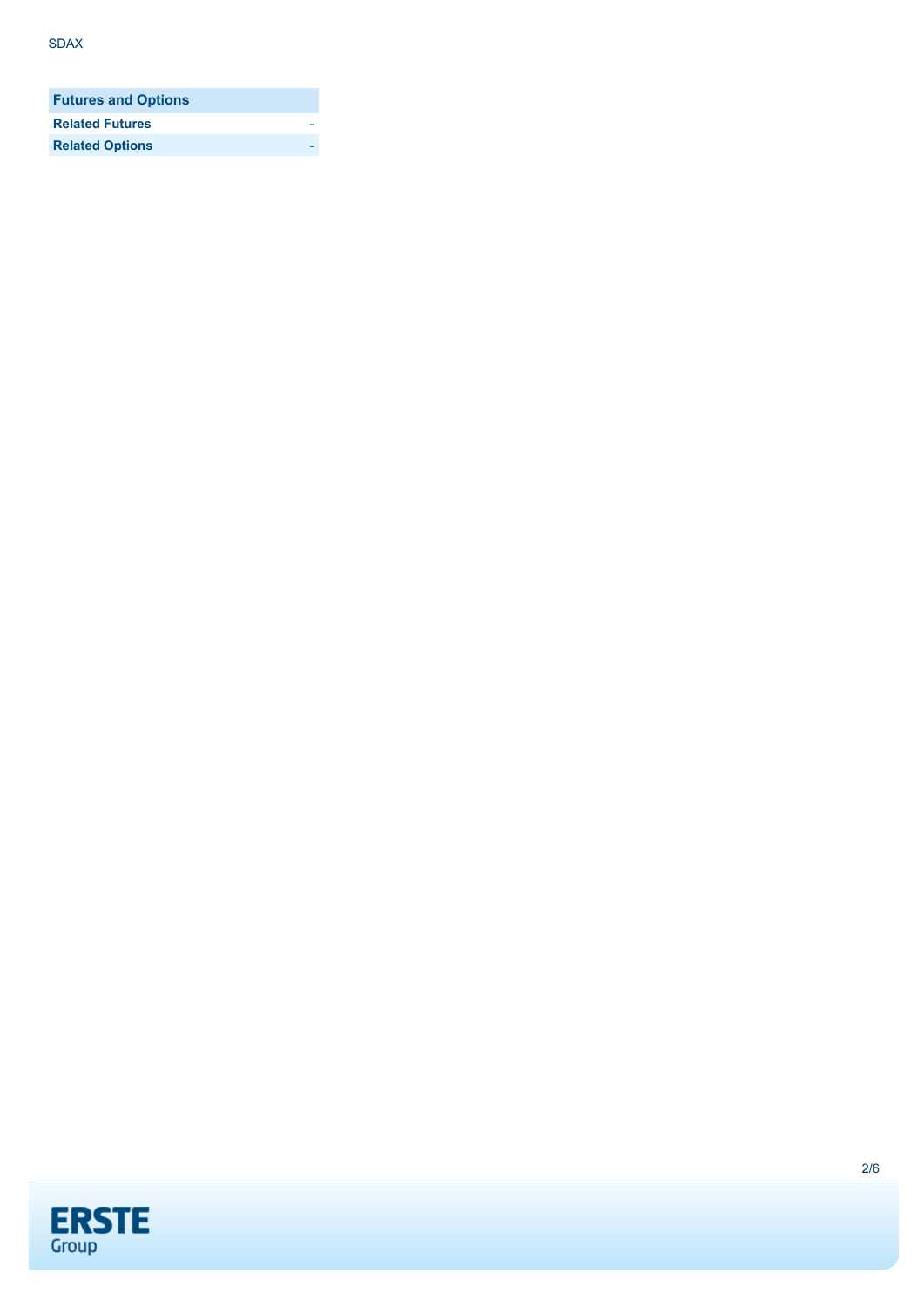| <b>Futures and Options</b> |  |
|----------------------------|--|
| <b>Related Futures</b>     |  |
| <b>Related Options</b>     |  |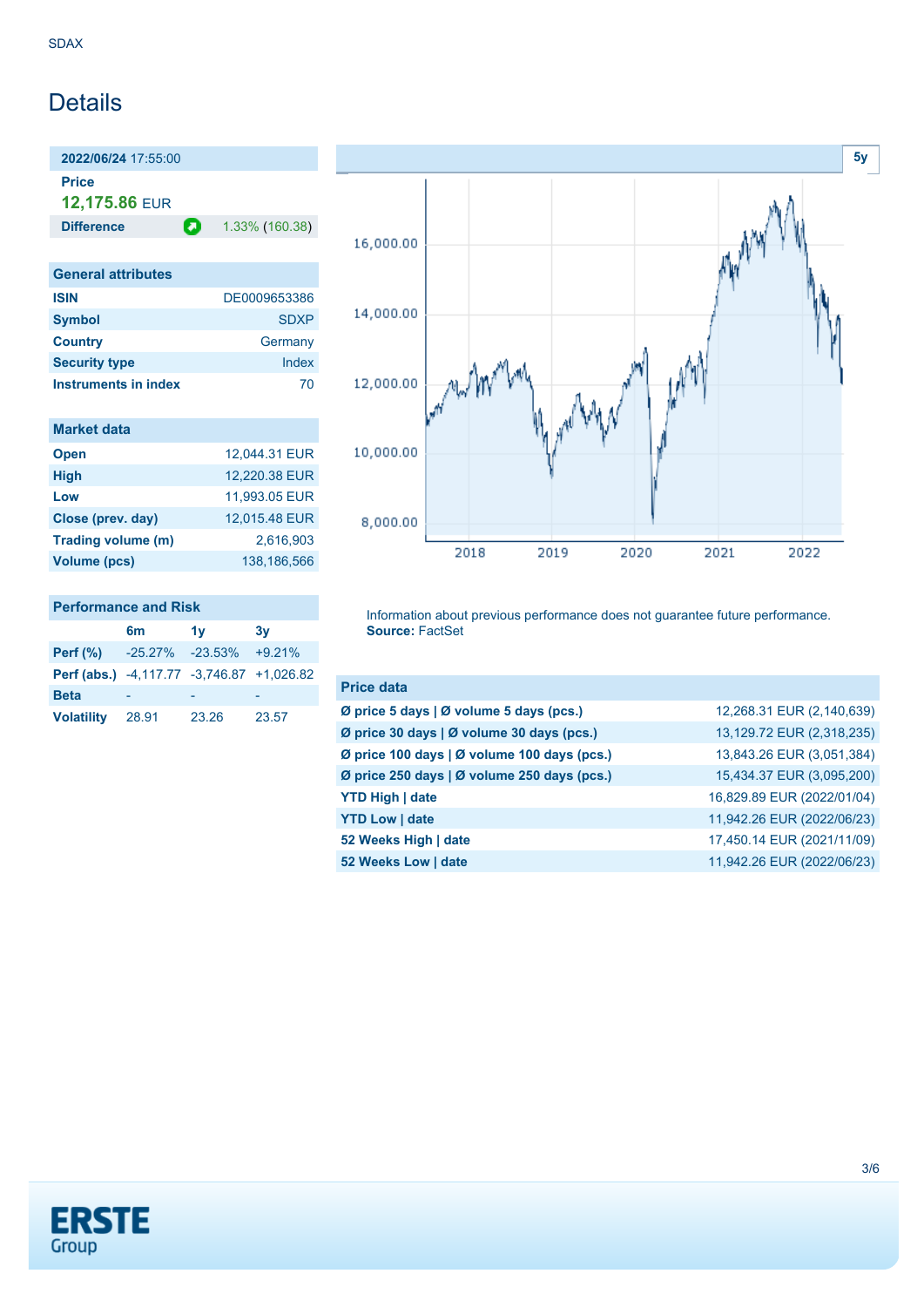## **Details**

**2022/06/24** 17:55:00 **Price**

**12,175.86** EUR

**Difference 1.33% (160.38)** 

| <b>General attributes</b> |              |
|---------------------------|--------------|
| <b>ISIN</b>               | DE0009653386 |
| <b>Symbol</b>             | <b>SDXP</b>  |
| <b>Country</b>            | Germany      |
| <b>Security type</b>      | Index        |
| Instruments in index      | 70           |

|  | <b>Market data</b> |  |
|--|--------------------|--|
|  |                    |  |
|  |                    |  |

| 12,044.31 EUR |
|---------------|
| 12,220.38 EUR |
| 11,993.05 EUR |
| 12,015.48 EUR |
| 2.616.903     |
| 138.186.566   |
|               |

### **Performance and Risk**

|                                           | 6m              | 1v    | 3v       |
|-------------------------------------------|-----------------|-------|----------|
| Perf $(\%)$                               | -25.27% -23.53% |       | $+9.21%$ |
| Perf (abs.) -4,117.77 -3,746.87 +1,026.82 |                 |       |          |
| <b>Beta</b>                               |                 |       |          |
| <b>Volatility</b>                         | 28.91           | 23.26 | 23.57    |



Information about previous performance does not guarantee future performance. **Source:** FactSet

| <b>Price data</b>                           |                            |
|---------------------------------------------|----------------------------|
| Ø price 5 days   Ø volume 5 days (pcs.)     | 12,268.31 EUR (2,140,639)  |
| Ø price 30 days   Ø volume 30 days (pcs.)   | 13,129.72 EUR (2,318,235)  |
| Ø price 100 days   Ø volume 100 days (pcs.) | 13,843.26 EUR (3,051,384)  |
| Ø price 250 days   Ø volume 250 days (pcs.) | 15,434.37 EUR (3,095,200)  |
| <b>YTD High   date</b>                      | 16,829.89 EUR (2022/01/04) |
| <b>YTD Low   date</b>                       | 11,942.26 EUR (2022/06/23) |
| 52 Weeks High   date                        | 17,450.14 EUR (2021/11/09) |
| 52 Weeks Low   date                         | 11,942.26 EUR (2022/06/23) |

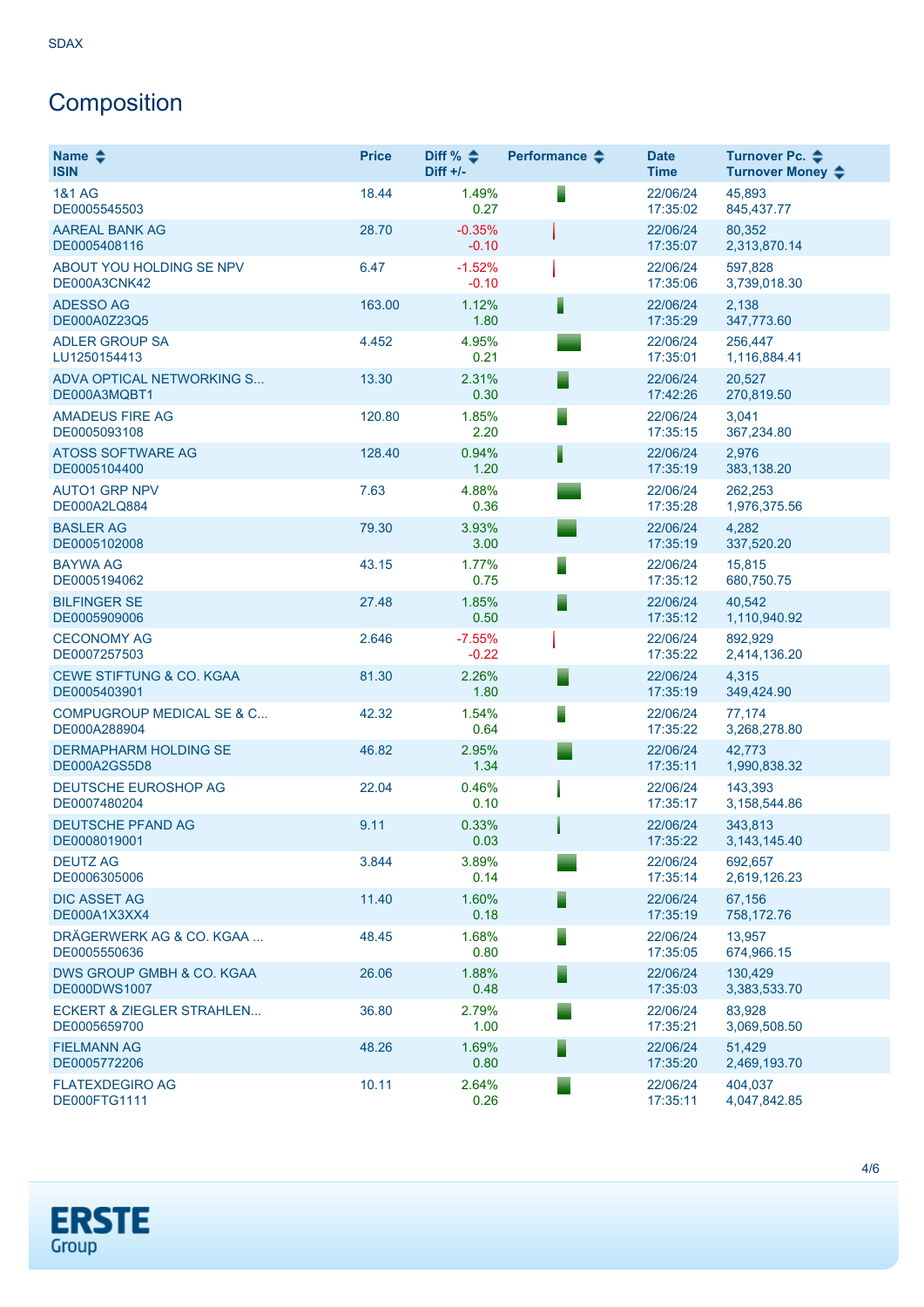# Composition

| Name $\triangle$<br><b>ISIN</b>                      | <b>Price</b> | Diff % $\triangleq$<br>$Diff +/-$ | Performance $\triangle$ | <b>Date</b><br><b>Time</b> | Turnover Pc. <b>←</b><br>Turnover Money ♦ |
|------------------------------------------------------|--------------|-----------------------------------|-------------------------|----------------------------|-------------------------------------------|
| <b>1&amp;1 AG</b><br>DE0005545503                    | 18.44        | 1.49%<br>0.27                     | ▋                       | 22/06/24<br>17:35:02       | 45.893<br>845,437.77                      |
| <b>AAREAL BANK AG</b><br>DE0005408116                | 28.70        | $-0.35%$<br>$-0.10$               |                         | 22/06/24<br>17:35:07       | 80,352<br>2,313,870.14                    |
| ABOUT YOU HOLDING SE NPV<br>DE000A3CNK42             | 6.47         | $-1.52%$<br>$-0.10$               |                         | 22/06/24<br>17:35:06       | 597,828<br>3,739,018.30                   |
| <b>ADESSO AG</b><br>DE000A0Z23Q5                     | 163.00       | 1.12%<br>1.80                     | ▌                       | 22/06/24<br>17:35:29       | 2,138<br>347,773.60                       |
| <b>ADLER GROUP SA</b><br>LU1250154413                | 4.452        | 4.95%<br>0.21                     |                         | 22/06/24<br>17:35:01       | 256,447<br>1,116,884.41                   |
| ADVA OPTICAL NETWORKING S<br>DE000A3MQBT1            | 13.30        | 2.31%<br>0.30                     | ▀                       | 22/06/24<br>17:42:26       | 20,527<br>270,819.50                      |
| <b>AMADEUS FIRE AG</b><br>DE0005093108               | 120.80       | 1.85%<br>2.20                     | Ξ                       | 22/06/24<br>17:35:15       | 3,041<br>367,234.80                       |
| <b>ATOSS SOFTWARE AG</b><br>DE0005104400             | 128.40       | 0.94%<br>1.20                     | ▌                       | 22/06/24<br>17:35:19       | 2,976<br>383,138.20                       |
| <b>AUTO1 GRP NPV</b><br>DE000A2LQ884                 | 7.63         | 4.88%<br>0.36                     |                         | 22/06/24<br>17:35:28       | 262,253<br>1,976,375.56                   |
| <b>BASLER AG</b><br>DE0005102008                     | 79.30        | 3.93%<br>3.00                     |                         | 22/06/24<br>17:35:19       | 4,282<br>337,520.20                       |
| <b>BAYWA AG</b><br>DE0005194062                      | 43.15        | 1.77%<br>0.75                     | Ξ                       | 22/06/24<br>17:35:12       | 15,815<br>680,750.75                      |
| <b>BILFINGER SE</b><br>DE0005909006                  | 27.48        | 1.85%<br>0.50                     | ⋾                       | 22/06/24<br>17:35:12       | 40,542<br>1,110,940.92                    |
| <b>CECONOMY AG</b><br>DE0007257503                   | 2.646        | $-7.55%$<br>$-0.22$               |                         | 22/06/24<br>17:35:22       | 892,929<br>2,414,136.20                   |
| CEWE STIFTUNG & CO. KGAA<br>DE0005403901             | 81.30        | 2.26%<br>1.80                     | Ξ                       | 22/06/24<br>17:35:19       | 4,315<br>349,424.90                       |
| <b>COMPUGROUP MEDICAL SE &amp; C</b><br>DE000A288904 | 42.32        | 1.54%<br>0.64                     | ▋                       | 22/06/24<br>17:35:22       | 77,174<br>3,268,278.80                    |
| <b>DERMAPHARM HOLDING SE</b><br>DE000A2GS5D8         | 46.82        | 2.95%<br>1.34                     |                         | 22/06/24<br>17:35:11       | 42,773<br>1,990,838.32                    |
| DEUTSCHE EUROSHOP AG<br>DE0007480204                 | 22.04        | 0.46%<br>0.10                     |                         | 22/06/24<br>17:35:17       | 143,393<br>3,158,544.86                   |
| <b>DEUTSCHE PFAND AG</b><br>DE0008019001             | 9.11         | 0.33%<br>0.03                     |                         | 22/06/24<br>17:35:22       | 343,813<br>3, 143, 145. 40                |
| <b>DEUTZ AG</b><br>DE0006305006                      | 3.844        | 3.89%<br>0.14                     |                         | 22/06/24<br>17:35:14       | 692,657<br>2,619,126.23                   |
| <b>DIC ASSET AG</b><br>DE000A1X3XX4                  | 11.40        | 1.60%<br>0.18                     | ⋾                       | 22/06/24<br>17:35:19       | 67,156<br>758,172.76                      |
| DRÄGERWERK AG & CO. KGAA<br>DE0005550636             | 48.45        | 1.68%<br>0.80                     | ⋾                       | 22/06/24<br>17:35:05       | 13,957<br>674,966.15                      |
| DWS GROUP GMBH & CO. KGAA<br><b>DE000DWS1007</b>     | 26.06        | 1.88%<br>0.48                     | Ξ                       | 22/06/24<br>17:35:03       | 130,429<br>3,383,533.70                   |
| <b>ECKERT &amp; ZIEGLER STRAHLEN</b><br>DE0005659700 | 36.80        | 2.79%<br>1.00                     |                         | 22/06/24<br>17:35:21       | 83,928<br>3,069,508.50                    |
| <b>FIELMANN AG</b><br>DE0005772206                   | 48.26        | 1.69%<br>0.80                     | ⋾                       | 22/06/24<br>17:35:20       | 51,429<br>2,469,193.70                    |
| <b>FLATEXDEGIRO AG</b><br>DE000FTG1111               | 10.11        | 2.64%<br>0.26                     |                         | 22/06/24<br>17:35:11       | 404,037<br>4,047,842.85                   |

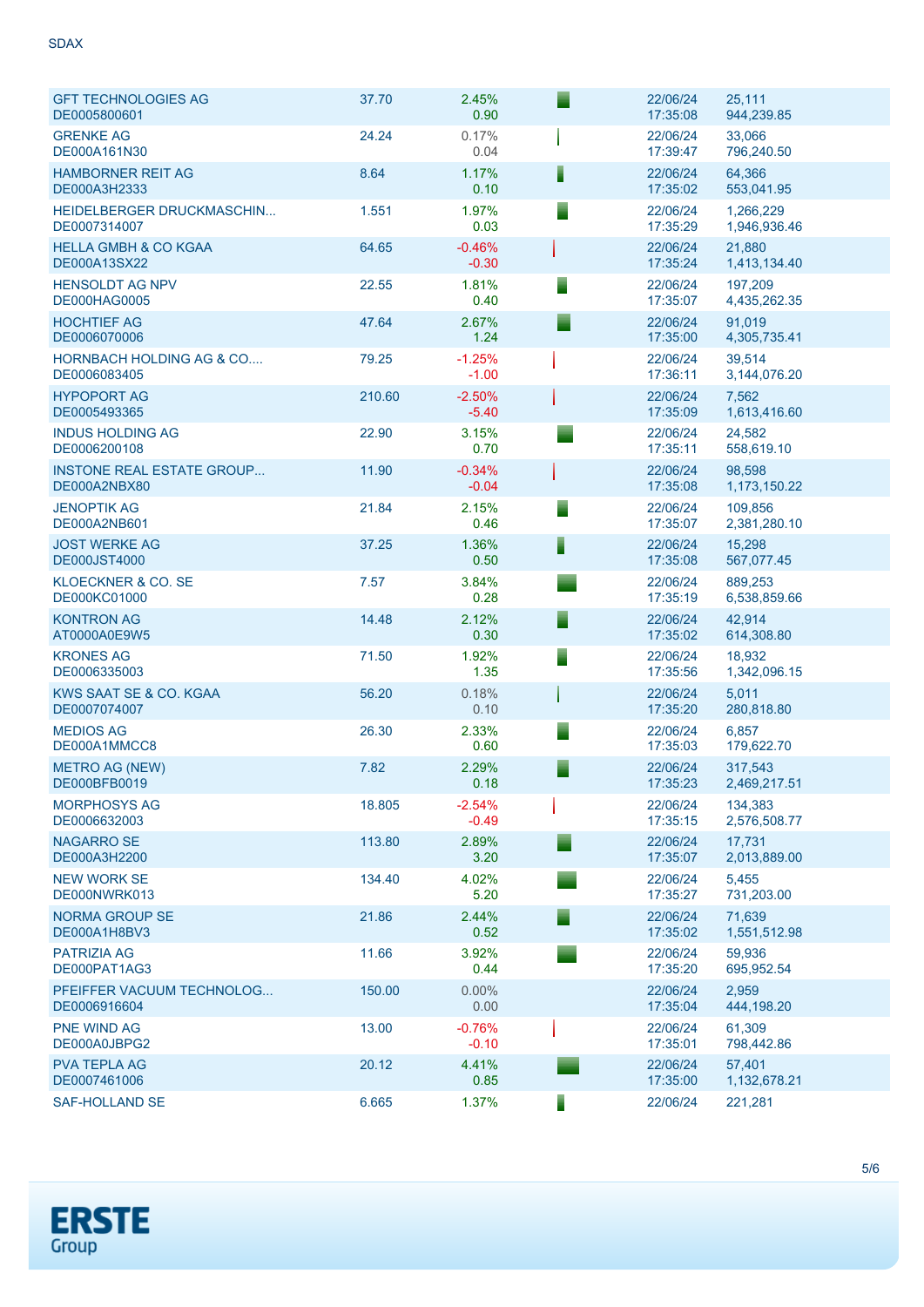| <b>GFT TECHNOLOGIES AG</b><br>DE0005800601          | 37.70  | 2.45%<br>0.90       |   | 22/06/24<br>17:35:08 | 25,111<br>944,239.85      |
|-----------------------------------------------------|--------|---------------------|---|----------------------|---------------------------|
| <b>GRENKE AG</b><br>DE000A161N30                    | 24.24  | 0.17%<br>0.04       |   | 22/06/24<br>17:39:47 | 33,066<br>796,240.50      |
| <b>HAMBORNER REIT AG</b><br>DE000A3H2333            | 8.64   | 1.17%<br>0.10       |   | 22/06/24<br>17:35:02 | 64,366<br>553,041.95      |
| HEIDELBERGER DRUCKMASCHIN<br>DE0007314007           | 1.551  | 1.97%<br>0.03       |   | 22/06/24<br>17:35:29 | 1,266,229<br>1,946,936.46 |
| <b>HELLA GMBH &amp; CO KGAA</b><br>DE000A13SX22     | 64.65  | $-0.46%$<br>$-0.30$ |   | 22/06/24<br>17:35:24 | 21,880<br>1,413,134.40    |
| <b>HENSOLDT AG NPV</b><br><b>DE000HAG0005</b>       | 22.55  | 1.81%<br>0.40       |   | 22/06/24<br>17:35:07 | 197,209<br>4,435,262.35   |
| <b>HOCHTIEF AG</b><br>DE0006070006                  | 47.64  | 2.67%<br>1.24       |   | 22/06/24<br>17:35:00 | 91,019<br>4,305,735.41    |
| <b>HORNBACH HOLDING AG &amp; CO</b><br>DE0006083405 | 79.25  | $-1.25%$<br>$-1.00$ |   | 22/06/24<br>17:36:11 | 39,514<br>3,144,076.20    |
| <b>HYPOPORT AG</b><br>DE0005493365                  | 210.60 | $-2.50%$<br>$-5.40$ |   | 22/06/24<br>17:35:09 | 7,562<br>1,613,416.60     |
| <b>INDUS HOLDING AG</b><br>DE0006200108             | 22.90  | 3.15%<br>0.70       |   | 22/06/24<br>17:35:11 | 24,582<br>558,619.10      |
| <b>INSTONE REAL ESTATE GROUP</b><br>DE000A2NBX80    | 11.90  | $-0.34%$<br>$-0.04$ |   | 22/06/24<br>17:35:08 | 98,598<br>1,173,150.22    |
| <b>JENOPTIK AG</b><br>DE000A2NB601                  | 21.84  | 2.15%<br>0.46       | ▘ | 22/06/24<br>17:35:07 | 109,856<br>2,381,280.10   |
| <b>JOST WERKE AG</b><br><b>DE000JST4000</b>         | 37.25  | 1.36%<br>0.50       | F | 22/06/24<br>17:35:08 | 15,298<br>567,077.45      |
| KLOECKNER & CO. SE<br>DE000KC01000                  | 7.57   | 3.84%<br>0.28       |   | 22/06/24<br>17:35:19 | 889,253<br>6,538,859.66   |
| <b>KONTRON AG</b><br>AT0000A0E9W5                   | 14.48  | 2.12%<br>0.30       | Е | 22/06/24<br>17:35:02 | 42,914<br>614,308.80      |
| <b>KRONES AG</b><br>DE0006335003                    | 71.50  | 1.92%<br>1.35       | ▀ | 22/06/24<br>17:35:56 | 18,932<br>1,342,096.15    |
| KWS SAAT SE & CO. KGAA<br>DE0007074007              | 56.20  | 0.18%<br>0.10       |   | 22/06/24<br>17:35:20 | 5,011<br>280,818.80       |
| <b>MEDIOS AG</b><br>DE000A1MMCC8                    | 26.30  | 2.33%<br>0.60       | ▘ | 22/06/24<br>17:35:03 | 6,857<br>179,622.70       |
| <b>METRO AG (NEW)</b><br>DE000BFB0019               | 7.82   | 2.29%<br>0.18       | ▘ | 22/06/24<br>17:35:23 | 317,543<br>2,469,217.51   |
| <b>MORPHOSYS AG</b><br>DE0006632003                 | 18.805 | $-2.54%$<br>$-0.49$ |   | 22/06/24<br>17:35:15 | 134,383<br>2,576,508.77   |
| NAGARRO SE<br>DE000A3H2200                          | 113.80 | 2.89%<br>3.20       |   | 22/06/24<br>17:35:07 | 17,731<br>2,013,889.00    |
| <b>NEW WORK SE</b><br>DE000NWRK013                  | 134.40 | 4.02%<br>5.20       |   | 22/06/24<br>17:35:27 | 5,455<br>731,203.00       |
| NORMA GROUP SE<br>DE000A1H8BV3                      | 21.86  | 2.44%<br>0.52       |   | 22/06/24<br>17:35:02 | 71,639<br>1,551,512.98    |
| <b>PATRIZIA AG</b><br>DE000PAT1AG3                  | 11.66  | 3.92%<br>0.44       |   | 22/06/24<br>17:35:20 | 59,936<br>695,952.54      |
| PFEIFFER VACUUM TECHNOLOG<br>DE0006916604           | 150.00 | $0.00\%$<br>0.00    |   | 22/06/24<br>17:35:04 | 2,959<br>444,198.20       |
| <b>PNE WIND AG</b><br>DE000A0JBPG2                  | 13.00  | $-0.76%$<br>$-0.10$ |   | 22/06/24<br>17:35:01 | 61,309<br>798,442.86      |
| <b>PVA TEPLA AG</b><br>DE0007461006                 | 20.12  | 4.41%<br>0.85       |   | 22/06/24<br>17:35:00 | 57,401<br>1,132,678.21    |
| <b>SAF-HOLLAND SE</b>                               | 6.665  | 1.37%               |   | 22/06/24             | 221,281                   |